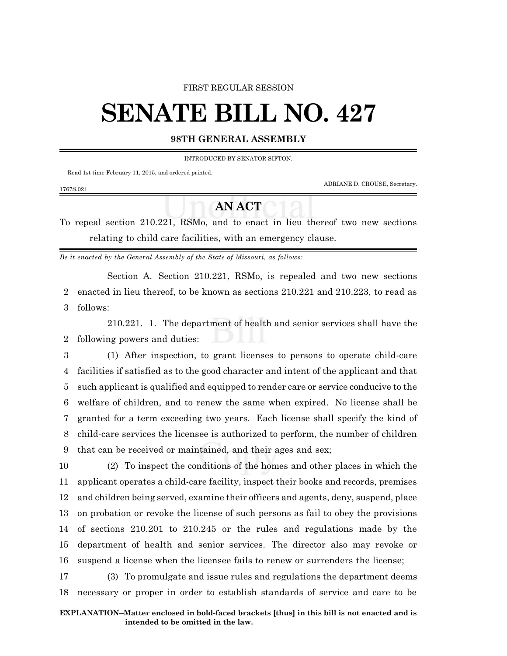### FIRST REGULAR SESSION

# **SENATE BILL NO. 427**

## **98TH GENERAL ASSEMBLY**

INTRODUCED BY SENATOR SIFTON.

Read 1st time February 11, 2015, and ordered printed.

ADRIANE D. CROUSE, Secretary.

#### 1767S.02I

# **AN ACT**

To repeal section 210.221, RSMo, and to enact in lieu thereof two new sections relating to child care facilities, with an emergency clause.

*Be it enacted by the General Assembly of the State of Missouri, as follows:*

Section A. Section 210.221, RSMo, is repealed and two new sections 2 enacted in lieu thereof, to be known as sections 210.221 and 210.223, to read as 3 follows:

210.221. 1. The department of health and senior services shall have the 2 following powers and duties:

 (1) After inspection, to grant licenses to persons to operate child-care facilities if satisfied as to the good character and intent of the applicant and that such applicant is qualified and equipped to render care or service conducive to the welfare of children, and to renew the same when expired. No license shall be granted for a term exceeding two years. Each license shall specify the kind of child-care services the licensee is authorized to perform, the number of children that can be received or maintained, and their ages and sex;

 (2) To inspect the conditions of the homes and other places in which the applicant operates a child-care facility, inspect their books and records, premises and children being served, examine their officers and agents, deny, suspend, place on probation or revoke the license of such persons as fail to obey the provisions of sections 210.201 to 210.245 or the rules and regulations made by the department of health and senior services. The director also may revoke or suspend a license when the licensee fails to renew or surrenders the license;

17 (3) To promulgate and issue rules and regulations the department deems 18 necessary or proper in order to establish standards of service and care to be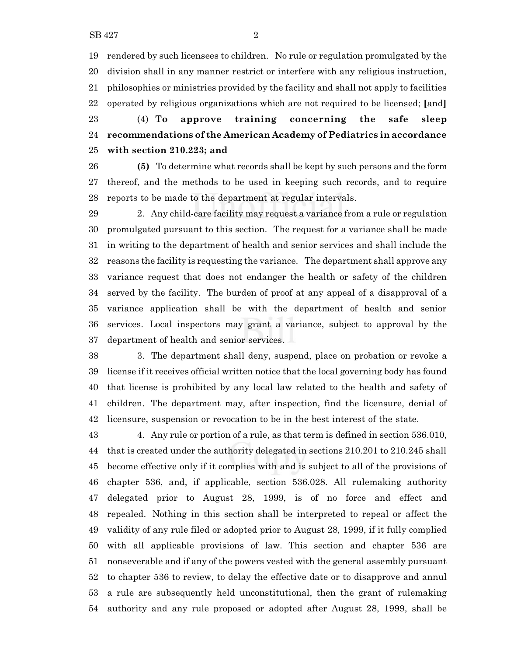rendered by such licensees to children. No rule or regulation promulgated by the division shall in any manner restrict or interfere with any religious instruction, philosophies or ministries provided by the facility and shall not apply to facilities operated by religious organizations which are not required to be licensed; **[**and**]**

 (4) **To approve training concerning the safe sleep recommendations of the American Academy of Pediatrics in accordance with section 210.223; and**

 **(5)** To determine what records shall be kept by such persons and the form thereof, and the methods to be used in keeping such records, and to require reports to be made to the department at regular intervals.

 2. Any child-care facility may request a variance from a rule or regulation promulgated pursuant to this section. The request for a variance shall be made in writing to the department of health and senior services and shall include the reasons the facility is requesting the variance. The department shall approve any variance request that does not endanger the health or safety of the children served by the facility. The burden of proof at any appeal of a disapproval of a variance application shall be with the department of health and senior services. Local inspectors may grant a variance, subject to approval by the department of health and senior services.

 3. The department shall deny, suspend, place on probation or revoke a license if it receives official written notice that the local governing body has found that license is prohibited by any local law related to the health and safety of children. The department may, after inspection, find the licensure, denial of licensure, suspension or revocation to be in the best interest of the state.

 4. Any rule or portion of a rule, as that term is defined in section 536.010, that is created under the authority delegated in sections 210.201 to 210.245 shall become effective only if it complies with and is subject to all of the provisions of chapter 536, and, if applicable, section 536.028. All rulemaking authority delegated prior to August 28, 1999, is of no force and effect and repealed. Nothing in this section shall be interpreted to repeal or affect the validity of any rule filed or adopted prior to August 28, 1999, if it fully complied with all applicable provisions of law. This section and chapter 536 are nonseverable and if any of the powers vested with the general assembly pursuant to chapter 536 to review, to delay the effective date or to disapprove and annul a rule are subsequently held unconstitutional, then the grant of rulemaking authority and any rule proposed or adopted after August 28, 1999, shall be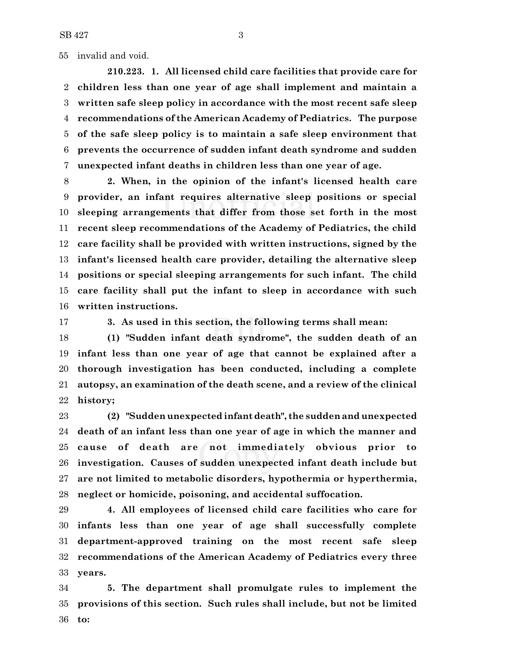invalid and void.

**210.223. 1. All licensed child care facilities that provide care for children less than one year of age shall implement and maintain a written safe sleep policy in accordance with the most recent safe sleep recommendations of the American Academy of Pediatrics. The purpose of the safe sleep policy is to maintain a safe sleep environment that prevents the occurrence of sudden infant death syndrome and sudden unexpected infant deaths in children less than one year of age.**

 **2. When, in the opinion of the infant's licensed health care provider, an infant requires alternative sleep positions or special sleeping arrangements that differ from those set forth in the most recent sleep recommendations of the Academy of Pediatrics, the child care facility shall be provided with written instructions, signed by the infant's licensed health care provider, detailing the alternative sleep positions or special sleeping arrangements for such infant. The child care facility shall put the infant to sleep in accordance with such written instructions.**

**3. As used in this section, the following terms shall mean:**

 **(1) "Sudden infant death syndrome", the sudden death of an infant less than one year of age that cannot be explained after a thorough investigation has been conducted, including a complete autopsy, an examination of the death scene, and a review of the clinical history;**

 **(2) "Sudden unexpected infant death", the sudden and unexpected death of an infant less than one year of age in which the manner and cause of death are not immediately obvious prior to investigation. Causes of sudden unexpected infant death include but are not limited to metabolic disorders, hypothermia or hyperthermia, neglect or homicide, poisoning, and accidental suffocation.**

 **4. All employees of licensed child care facilities who care for infants less than one year of age shall successfully complete department-approved training on the most recent safe sleep recommendations of the American Academy of Pediatrics every three years.**

 **5. The department shall promulgate rules to implement the provisions of this section. Such rules shall include, but not be limited to:**